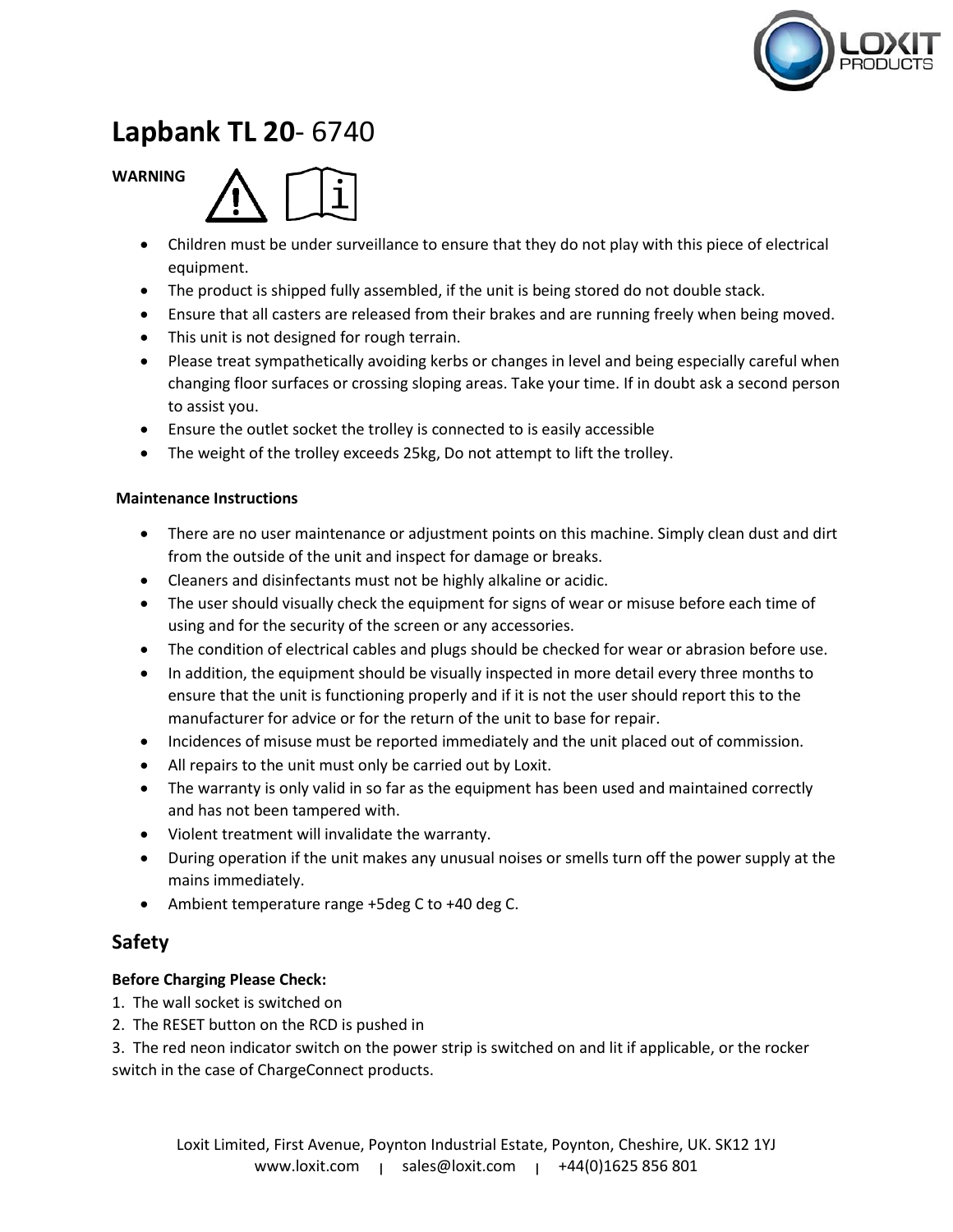

# **Lapbank TL 20**- 6740

#### **WARNING**



- Children must be under surveillance to ensure that they do not play with this piece of electrical equipment.
- The product is shipped fully assembled, if the unit is being stored do not double stack.
- Ensure that all casters are released from their brakes and are running freely when being moved.
- This unit is not designed for rough terrain.
- Please treat sympathetically avoiding kerbs or changes in level and being especially careful when changing floor surfaces or crossing sloping areas. Take your time. If in doubt ask a second person to assist you.
- Ensure the outlet socket the trolley is connected to is easily accessible
- The weight of the trolley exceeds 25kg, Do not attempt to lift the trolley.

#### **Maintenance Instructions**

- There are no user maintenance or adjustment points on this machine. Simply clean dust and dirt from the outside of the unit and inspect for damage or breaks.
- Cleaners and disinfectants must not be highly alkaline or acidic.
- The user should visually check the equipment for signs of wear or misuse before each time of using and for the security of the screen or any accessories.
- The condition of electrical cables and plugs should be checked for wear or abrasion before use.
- In addition, the equipment should be visually inspected in more detail every three months to ensure that the unit is functioning properly and if it is not the user should report this to the manufacturer for advice or for the return of the unit to base for repair.
- Incidences of misuse must be reported immediately and the unit placed out of commission.
- All repairs to the unit must only be carried out by Loxit.
- The warranty is only valid in so far as the equipment has been used and maintained correctly and has not been tampered with.
- Violent treatment will invalidate the warranty.
- During operation if the unit makes any unusual noises or smells turn off the power supply at the mains immediately.
- Ambient temperature range +5deg C to +40 deg C.

## **Safety**

### **Before Charging Please Check:**

- 1. The wall socket is switched on
- 2. The RESET button on the RCD is pushed in

3. The red neon indicator switch on the power strip is switched on and lit if applicable, or the rocker switch in the case of ChargeConnect products.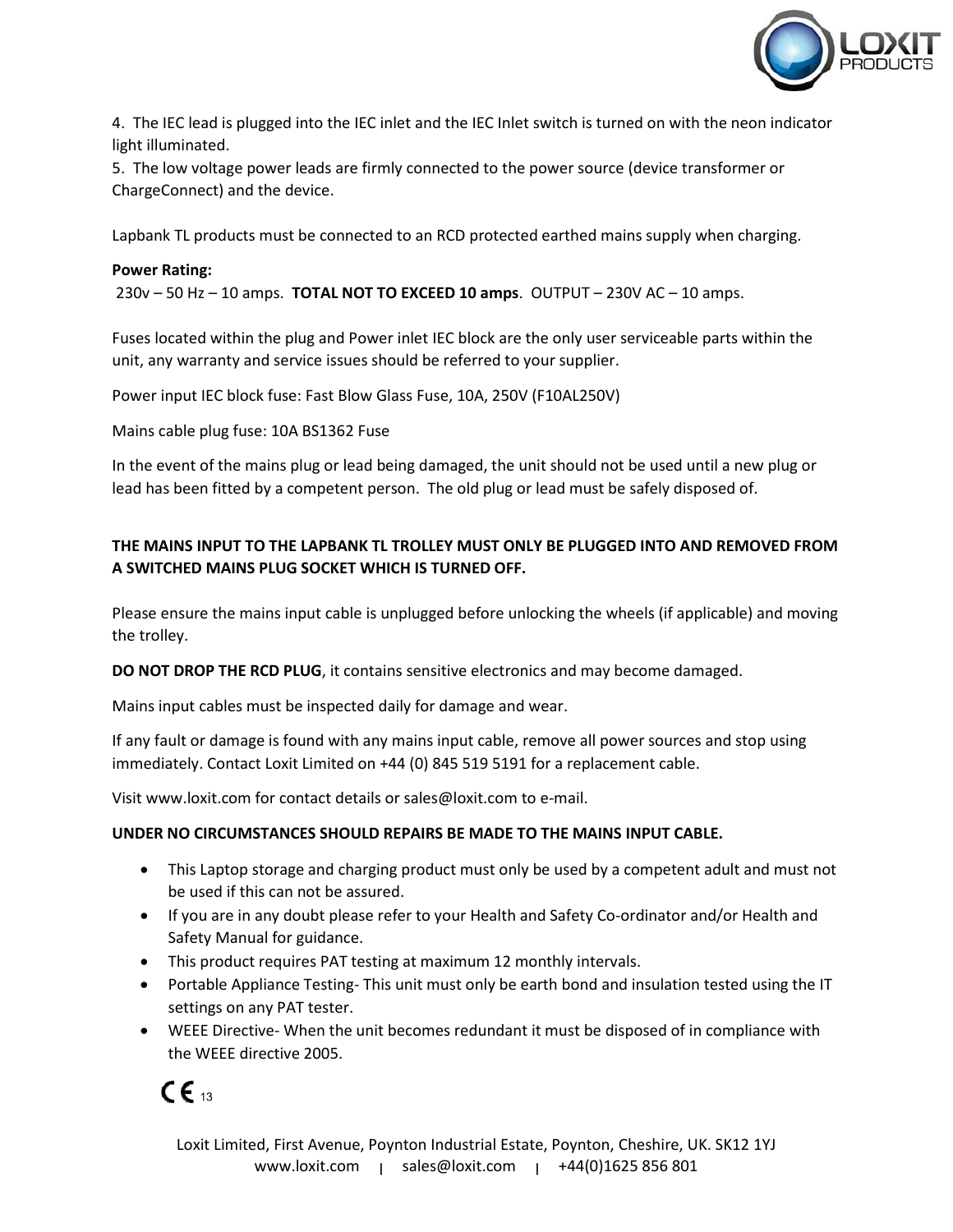

4. The IEC lead is plugged into the IEC inlet and the IEC Inlet switch is turned on with the neon indicator light illuminated.

5. The low voltage power leads are firmly connected to the power source (device transformer or ChargeConnect) and the device.

Lapbank TL products must be connected to an RCD protected earthed mains supply when charging.

#### **Power Rating:**

230v – 50 Hz – 10 amps. **TOTAL NOT TO EXCEED 10 amps**. OUTPUT – 230V AC – 10 amps.

Fuses located within the plug and Power inlet IEC block are the only user serviceable parts within the unit, any warranty and service issues should be referred to your supplier.

Power input IEC block fuse: Fast Blow Glass Fuse, 10A, 250V (F10AL250V)

Mains cable plug fuse: 10A BS1362 Fuse

In the event of the mains plug or lead being damaged, the unit should not be used until a new plug or lead has been fitted by a competent person. The old plug or lead must be safely disposed of.

### **THE MAINS INPUT TO THE LAPBANK TL TROLLEY MUST ONLY BE PLUGGED INTO AND REMOVED FROM A SWITCHED MAINS PLUG SOCKET WHICH IS TURNED OFF.**

Please ensure the mains input cable is unplugged before unlocking the wheels (if applicable) and moving the trolley.

**DO NOT DROP THE RCD PLUG**, it contains sensitive electronics and may become damaged.

Mains input cables must be inspected daily for damage and wear.

If any fault or damage is found with any mains input cable, remove all power sources and stop using immediately. Contact Loxit Limited on +44 (0) 845 519 5191 for a replacement cable.

Visit www.loxit.com for contact details or sales@loxit.com to e-mail.

#### **UNDER NO CIRCUMSTANCES SHOULD REPAIRS BE MADE TO THE MAINS INPUT CABLE.**

- This Laptop storage and charging product must only be used by a competent adult and must not be used if this can not be assured.
- If you are in any doubt please refer to your Health and Safety Co-ordinator and/or Health and Safety Manual for guidance.
- This product requires PAT testing at maximum 12 monthly intervals.
- Portable Appliance Testing- This unit must only be earth bond and insulation tested using the IT settings on any PAT tester.
- WEEE Directive- When the unit becomes redundant it must be disposed of in compliance with the WEEE directive 2005.

 $\epsilon_{\scriptscriptstyle{\mathsf{13}}}$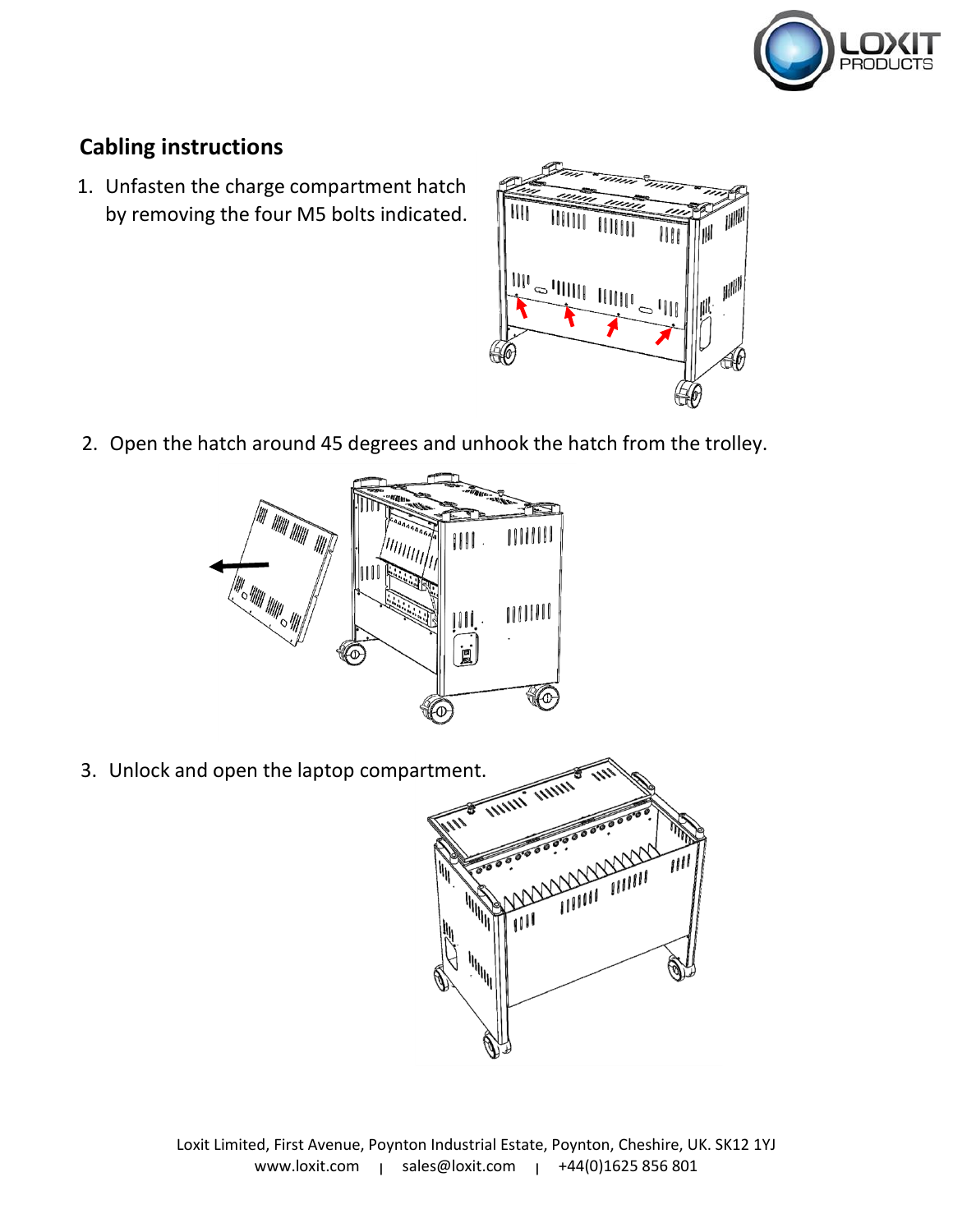

# **Cabling instructions**

1. Unfasten the charge compartment hatch by removing the four M5 bolts indicated.



2. Open the hatch around 45 degrees and unhook the hatch from the trolley.



3. Unlock and open the laptop compartment.

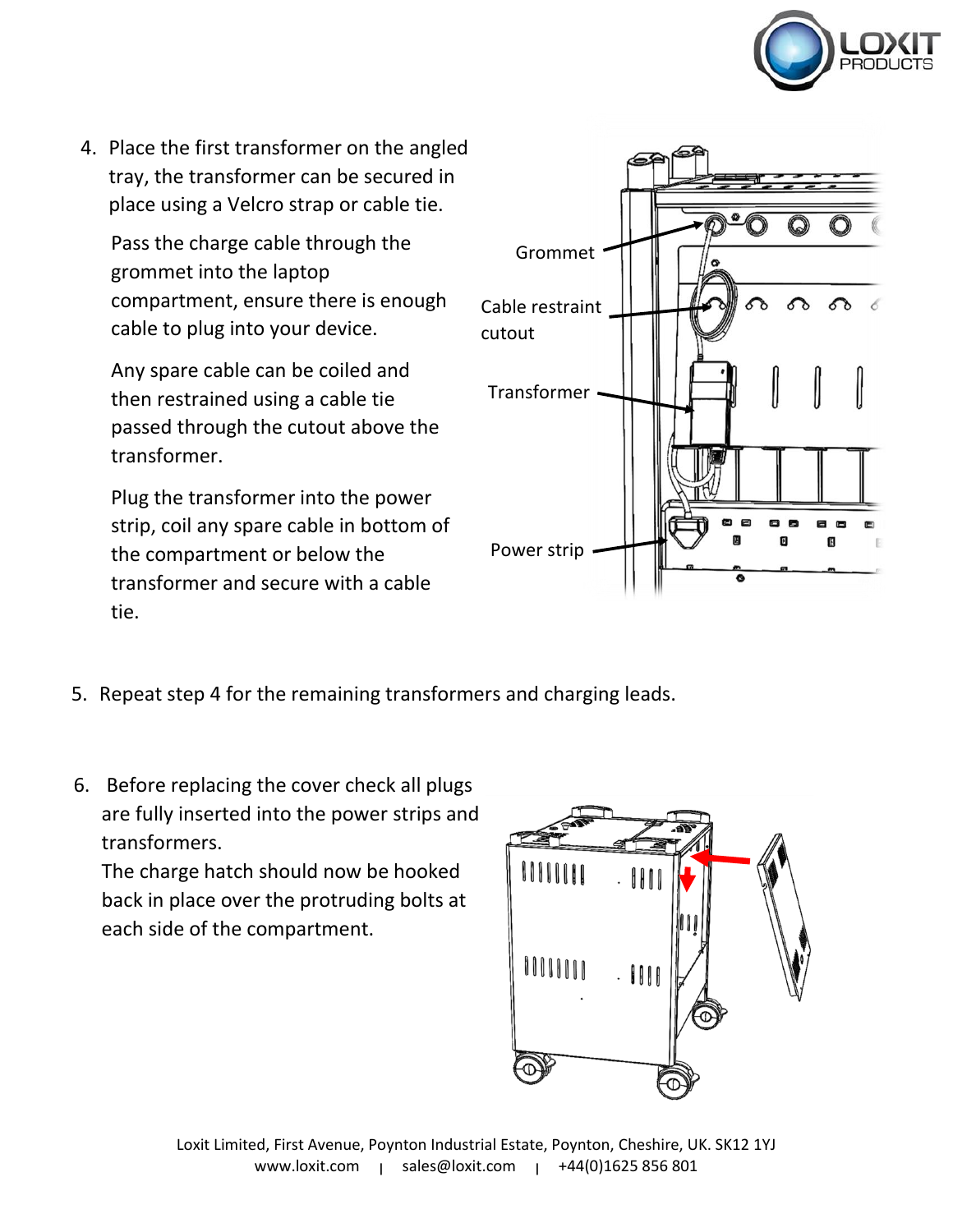

4. Place the first transformer on the angled tray, the transformer can be secured in place using a Velcro strap or cable tie.

Pass the charge cable through the grommet into the laptop compartment, ensure there is enough cable to plug into your device.

Any spare cable can be coiled and then restrained using a cable tie passed through the cutout above the transformer.

Plug the transformer into the power strip, coil any spare cable in bottom of the compartment or below the transformer and secure with a cable tie.



- 5. Repeat step 4 for the remaining transformers and charging leads.
- 6. Before replacing the cover check all plugs are fully inserted into the power strips and transformers.

The charge hatch should now be hooked back in place over the protruding bolts at each side of the compartment.